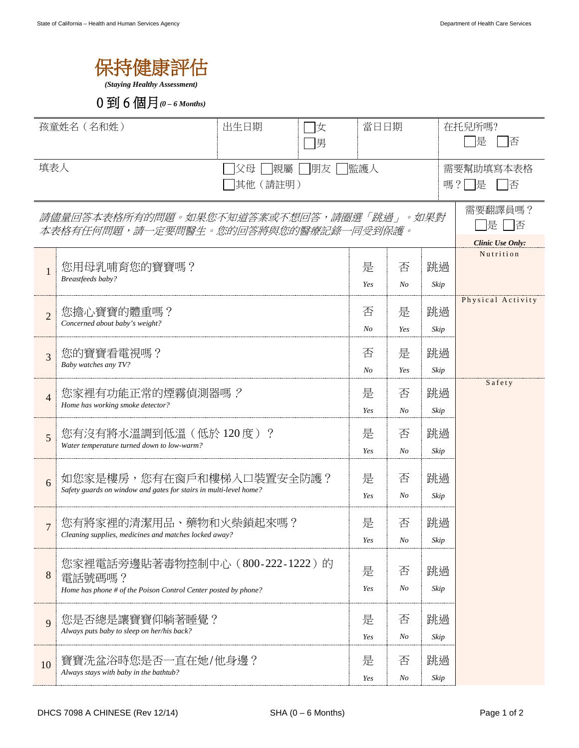

*(Staying Healthy Assessment)*



| 孩童姓名 (名和姓)<br>出生日期<br> 女<br>男                                                   |                                                                                                            | 當日日期     |                     |            | 在托兒所嗎?<br>是<br>俖        |  |
|---------------------------------------------------------------------------------|------------------------------------------------------------------------------------------------------------|----------|---------------------|------------|-------------------------|--|
| 填表人<br> 監護人<br>父母<br> 親屬<br> 朋友 <br>(請註明)<br>其他                                 |                                                                                                            |          |                     |            | 需要幫助填寫本表格<br>嗎?  提<br>俖 |  |
| 請儘量回答本表格所有的問題。如果您不知道答案或不想回答,請圈選「跳過」。如果對<br>本表格有任何問題,請一定要問醫生。您的回答將與您的醫療記錄一同受到保護。 | 需要翻譯員嗎?<br>是<br>-  否                                                                                       |          |                     |            |                         |  |
|                                                                                 |                                                                                                            |          |                     |            | <b>Clinic Use Only:</b> |  |
| $\mathbf{1}$                                                                    | 您用母乳哺育您的寶寶嗎?                                                                                               | 是        | 否                   | 跳過         | Nutrition               |  |
|                                                                                 | Breastfeeds baby?                                                                                          | Yes      | N <sub>O</sub>      | Skip       |                         |  |
| $\overline{2}$                                                                  | 您擔心寶寶的體重嗎?                                                                                                 | 否        | 是                   | 跳過         | Physical Activity       |  |
|                                                                                 | Concerned about baby's weight?                                                                             | No       | Yes                 | Skip       |                         |  |
| 3                                                                               | 您的寶寶看電視嗎?                                                                                                  | 否        | 是                   | 跳過         |                         |  |
|                                                                                 | Baby watches any TV?                                                                                       | No       | Yes                 | Skip       |                         |  |
| $\overline{4}$                                                                  | 您家裡有功能正常的煙霧偵測器嗎?<br>Home has working smoke detector?                                                       | 是        | 否                   | 跳過         | Safety                  |  |
|                                                                                 |                                                                                                            | Yes      | No                  | Skip       |                         |  |
| 5                                                                               | 您有沒有將水溫調到低溫(低於120度)?<br>Water temperature turned down to low-warm?                                         | 是        | 否                   | 跳過         |                         |  |
|                                                                                 |                                                                                                            | Yes      | No                  | Skip       |                         |  |
| 6                                                                               | 如您家是樓房,您有在窗戶和樓梯入口裝置安全防護?                                                                                   | 是        | 否                   | 跳過         |                         |  |
|                                                                                 | Safety guards on window and gates for stairs in multi-level home?                                          | Yes      | No                  | Skip       |                         |  |
| $\overline{7}$                                                                  | 您有將家裡的清潔用品、藥物和火柴鎖起來嗎?                                                                                      |          | 否                   | 跳過         |                         |  |
|                                                                                 | Cleaning supplies, medicines and matches locked away?                                                      | Yes      | No                  | Skip       |                         |  |
| 8                                                                               | 您家裡電話旁邊貼著毒物控制中心(800-222-1222)的<br>電話號碼嗎?<br>Home has phone # of the Poison Control Center posted by phone? | 是<br>Yes | 否<br>N <sub>O</sub> | 跳過<br>Skip |                         |  |
|                                                                                 |                                                                                                            |          |                     |            |                         |  |
| 9                                                                               | 您是否總是讓寶寶仰躺著睡覺?<br>Always puts baby to sleep on her/his back?                                               | 是        | 否                   | 跳過         |                         |  |
|                                                                                 |                                                                                                            | Yes      | No                  | Skip       |                         |  |
| 10                                                                              | 寶寶洗盆浴時您是否一直在她/他身邊?<br>Always stays with baby in the bathtub?                                               | 是        | 否                   | 跳過         |                         |  |
|                                                                                 |                                                                                                            | Yes      | No                  | Skip       |                         |  |